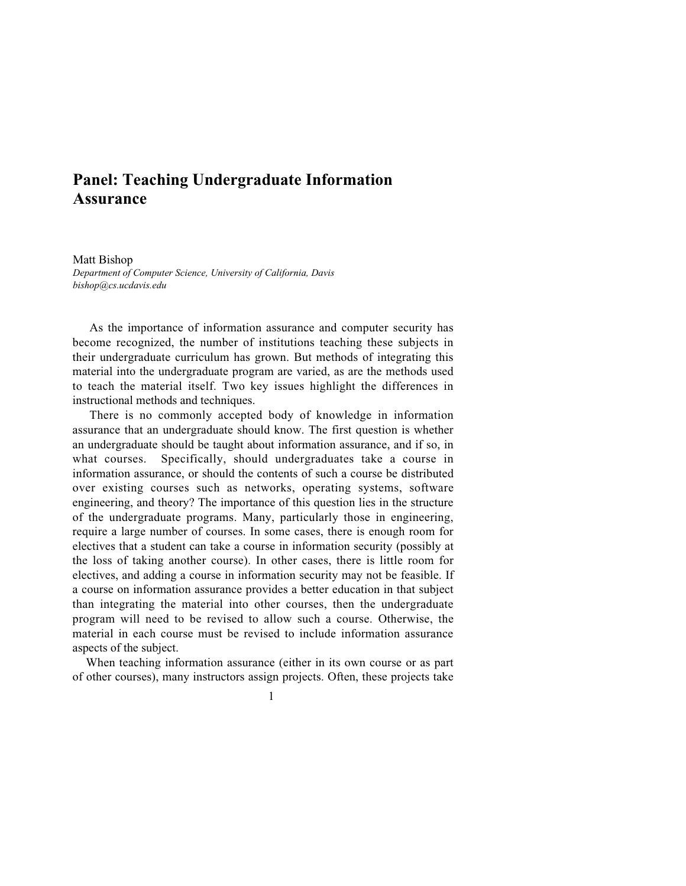## **Panel: Teaching Undergraduate Information Assurance**

## Matt Bishop

*Department of Computer Science, University of California, Davis bishop@cs.ucdavis.edu*

As the importance of information assurance and computer security has become recognized, the number of institutions teaching these subjects in their undergraduate curriculum has grown. But methods of integrating this material into the undergraduate program are varied, as are the methods used to teach the material itself. Two key issues highlight the differences in instructional methods and techniques.

There is no commonly accepted body of knowledge in information assurance that an undergraduate should know. The first question is whether an undergraduate should be taught about information assurance, and if so, in what courses. Specifically, should undergraduates take a course in information assurance, or should the contents of such a course be distributed over existing courses such as networks, operating systems, software engineering, and theory? The importance of this question lies in the structure of the undergraduate programs. Many, particularly those in engineering, require a large number of courses. In some cases, there is enough room for electives that a student can take a course in information security (possibly at the loss of taking another course). In other cases, there is little room for electives, and adding a course in information security may not be feasible. If a course on information assurance provides a better education in that subject than integrating the material into other courses, then the undergraduate program will need to be revised to allow such a course. Otherwise, the material in each course must be revised to include information assurance aspects of the subject.

When teaching information assurance (either in its own course or as part of other courses), many instructors assign projects. Often, these projects take

1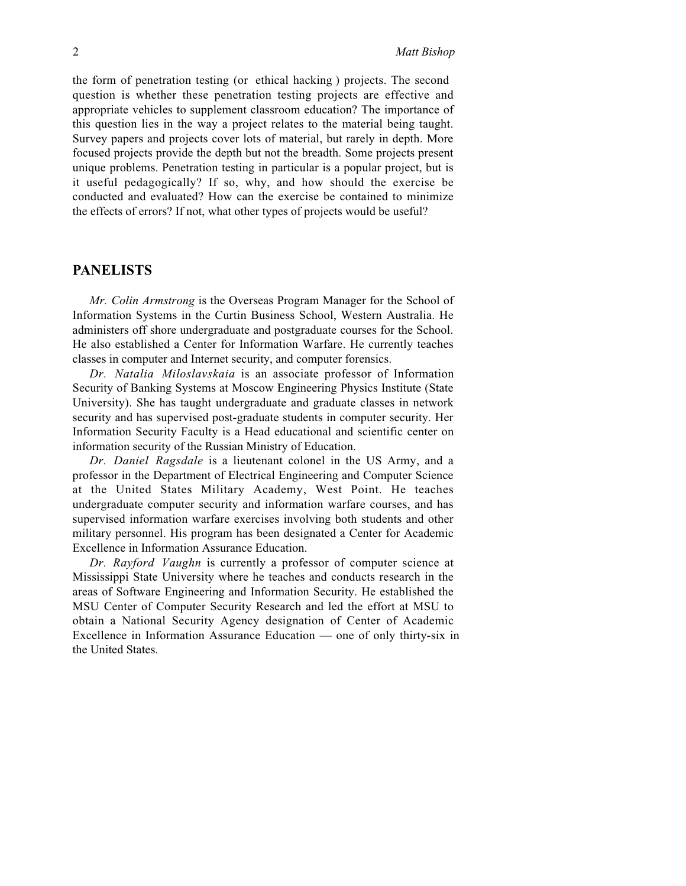the form of penetration testing (or ethical hacking ) projects. The second question is whether these penetration testing projects are effective and appropriate vehicles to supplement classroom education? The importance of this question lies in the way a project relates to the material being taught. Survey papers and projects cover lots of material, but rarely in depth. More focused projects provide the depth but not the breadth. Some projects present unique problems. Penetration testing in particular is a popular project, but is it useful pedagogically? If so, why, and how should the exercise be conducted and evaluated? How can the exercise be contained to minimize the effects of errors? If not, what other types of projects would be useful?

## **PANELISTS**

*Mr. Colin Armstrong* is the Overseas Program Manager for the School of Information Systems in the Curtin Business School, Western Australia. He administers off shore undergraduate and postgraduate courses for the School. He also established a Center for Information Warfare. He currently teaches classes in computer and Internet security, and computer forensics.

*Dr. Natalia Miloslavskaia* is an associate professor of Information Security of Banking Systems at Moscow Engineering Physics Institute (State University). She has taught undergraduate and graduate classes in network security and has supervised post-graduate students in computer security. Her Information Security Faculty is a Head educational and scientific center on information security of the Russian Ministry of Education.

*Dr. Daniel Ragsdale* is a lieutenant colonel in the US Army, and a professor in the Department of Electrical Engineering and Computer Science at the United States Military Academy, West Point. He teaches undergraduate computer security and information warfare courses, and has supervised information warfare exercises involving both students and other military personnel. His program has been designated a Center for Academic Excellence in Information Assurance Education.

*Dr. Rayford Vaughn* is currently a professor of computer science at Mississippi State University where he teaches and conducts research in the areas of Software Engineering and Information Security. He established the MSU Center of Computer Security Research and led the effort at MSU to obtain a National Security Agency designation of Center of Academic Excellence in Information Assurance Education — one of only thirty-six in the United States.